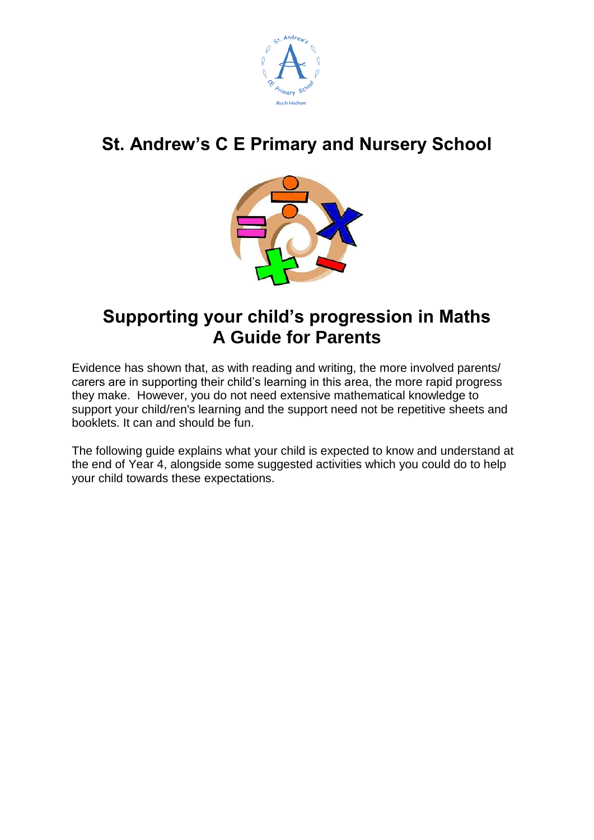

# **St. Andrew's C E Primary and Nursery School**



## **Supporting your child's progression in Maths A Guide for Parents**

Evidence has shown that, as with reading and writing, the more involved parents/ carers are in supporting their child's learning in this area, the more rapid progress they make. However, you do not need extensive mathematical knowledge to support your child/ren's learning and the support need not be repetitive sheets and booklets. It can and should be fun.

The following guide explains what your child is expected to know and understand at the end of Year 4, alongside some suggested activities which you could do to help your child towards these expectations.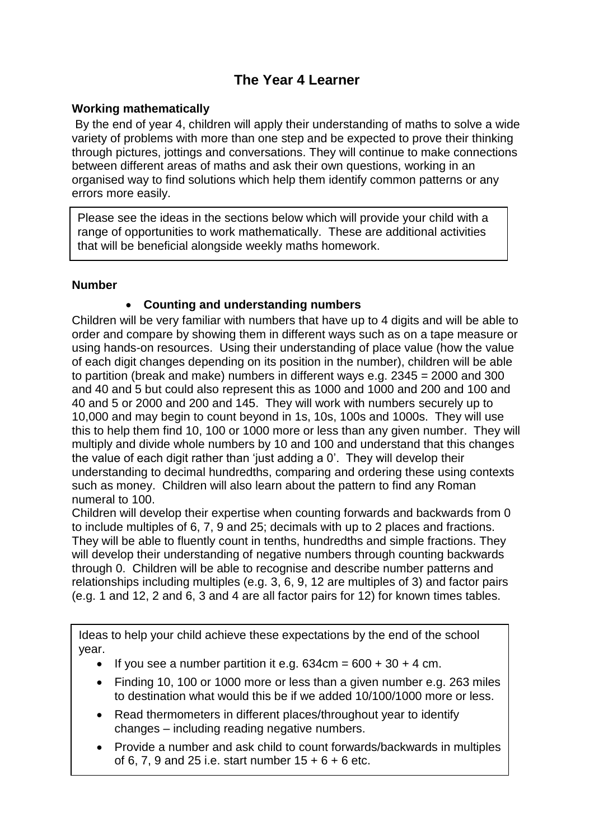## **The Year 4 Learner**

#### **Working mathematically**

By the end of year 4, children will apply their understanding of maths to solve a wide variety of problems with more than one step and be expected to prove their thinking through pictures, jottings and conversations. They will continue to make connections between different areas of maths and ask their own questions, working in an organised way to find solutions which help them identify common patterns or any errors more easily.

Please see the ideas in the sections below which will provide your child with a range of opportunities to work mathematically. These are additional activities that will be beneficial alongside weekly maths homework.

#### **Number**

## **Counting and understanding numbers**

Children will be very familiar with numbers that have up to 4 digits and will be able to order and compare by showing them in different ways such as on a tape measure or using hands-on resources. Using their understanding of place value (how the value of each digit changes depending on its position in the number), children will be able to partition (break and make) numbers in different ways e.g. 2345 = 2000 and 300 and 40 and 5 but could also represent this as 1000 and 1000 and 200 and 100 and 40 and 5 or 2000 and 200 and 145. They will work with numbers securely up to 10,000 and may begin to count beyond in 1s, 10s, 100s and 1000s. They will use this to help them find 10, 100 or 1000 more or less than any given number. They will multiply and divide whole numbers by 10 and 100 and understand that this changes the value of each digit rather than 'just adding a 0'. They will develop their understanding to decimal hundredths, comparing and ordering these using contexts such as money. Children will also learn about the pattern to find any Roman numeral to 100.

Children will develop their expertise when counting forwards and backwards from 0 to include multiples of 6, 7, 9 and 25; decimals with up to 2 places and fractions. They will be able to fluently count in tenths, hundredths and simple fractions. They will develop their understanding of negative numbers through counting backwards through 0. Children will be able to recognise and describe number patterns and relationships including multiples (e.g. 3, 6, 9, 12 are multiples of 3) and factor pairs (e.g. 1 and 12, 2 and 6, 3 and 4 are all factor pairs for 12) for known times tables.

Ideas to help your child achieve these expectations by the end of the school year.

- If you see a number partition it e.g.  $634$ cm =  $600 + 30 + 4$  cm.
- Finding 10, 100 or 1000 more or less than a given number e.g. 263 miles to destination what would this be if we added 10/100/1000 more or less.
- Read thermometers in different places/throughout year to identify changes – including reading negative numbers.
- Provide a number and ask child to count forwards/backwards in multiples of 6, 7, 9 and 25 i.e. start number 15 + 6 + 6 etc.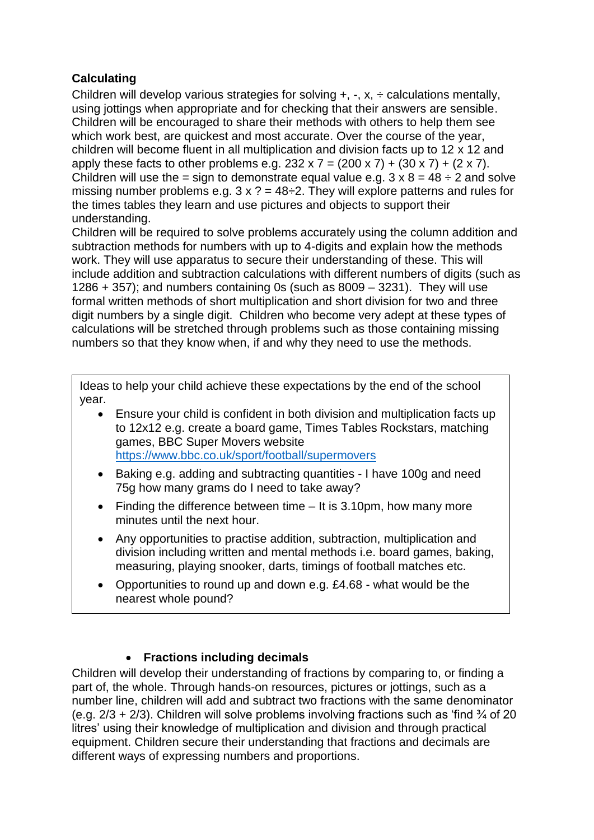## **Calculating**

Children will develop various strategies for solving  $+$ ,  $-$ ,  $x$ ,  $\div$  calculations mentally, using jottings when appropriate and for checking that their answers are sensible. Children will be encouraged to share their methods with others to help them see which work best, are quickest and most accurate. Over the course of the year, children will become fluent in all multiplication and division facts up to 12 x 12 and apply these facts to other problems e.g.  $232 \times 7 = (200 \times 7) + (30 \times 7) + (2 \times 7)$ . Children will use the = sign to demonstrate equal value e.g.  $3 \times 8 = 48 \div 2$  and solve missing number problems e.g.  $3 \times ? = 48 \div 2$ . They will explore patterns and rules for the times tables they learn and use pictures and objects to support their understanding.

Children will be required to solve problems accurately using the column addition and subtraction methods for numbers with up to 4-digits and explain how the methods work. They will use apparatus to secure their understanding of these. This will include addition and subtraction calculations with different numbers of digits (such as 1286  $+$  357); and numbers containing 0s (such as 8009  $-$  3231). They will use formal written methods of short multiplication and short division for two and three digit numbers by a single digit. Children who become very adept at these types of calculations will be stretched through problems such as those containing missing numbers so that they know when, if and why they need to use the methods.

Ideas to help your child achieve these expectations by the end of the school year.

- Ensure your child is confident in both division and multiplication facts up to 12x12 e.g. create a board game, Times Tables Rockstars, matching games, BBC Super Movers website <https://www.bbc.co.uk/sport/football/supermovers>
- Baking e.g. adding and subtracting quantities I have 100g and need 75g how many grams do I need to take away?
- Finding the difference between time It is 3.10pm, how many more minutes until the next hour.
- Any opportunities to practise addition, subtraction, multiplication and division including written and mental methods i.e. board games, baking, measuring, playing snooker, darts, timings of football matches etc.
- Opportunities to round up and down e.g. £4.68 what would be the nearest whole pound?

## **Fractions including decimals**

Children will develop their understanding of fractions by comparing to, or finding a part of, the whole. Through hands-on resources, pictures or jottings, such as a number line, children will add and subtract two fractions with the same denominator (e.g.  $2/3 + 2/3$ ). Children will solve problems involving fractions such as 'find  $\frac{3}{4}$  of 20 litres' using their knowledge of multiplication and division and through practical equipment. Children secure their understanding that fractions and decimals are different ways of expressing numbers and proportions.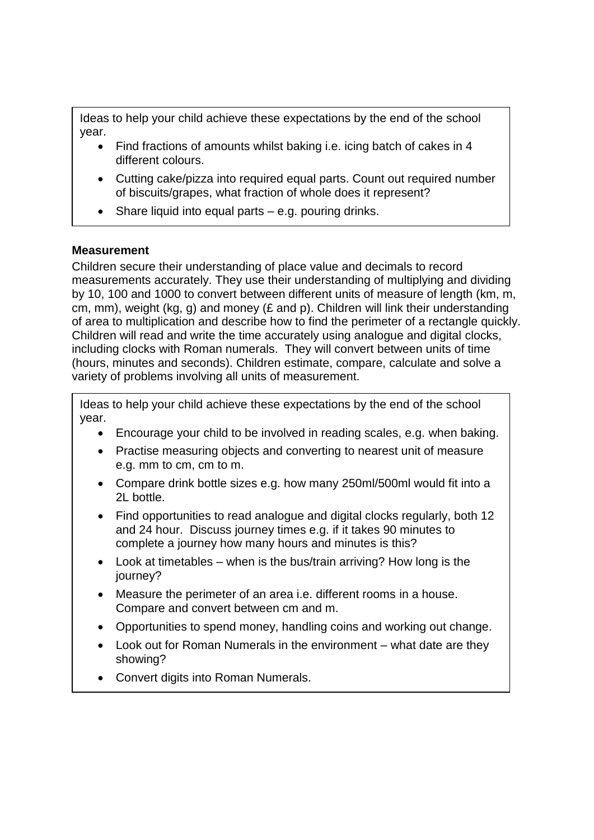Ideas to help your child achieve these expectations by the end of the school year.

- Find fractions of amounts whilst baking i.e. icing batch of cakes in 4 different colours.
- Cutting cake/pizza into required equal parts. Count out required number of biscuits/grapes, what fraction of whole does it represent?
- Share liquid into equal parts e.g. pouring drinks.

## **Measurement**

Children secure their understanding of place value and decimals to record measurements accurately. They use their understanding of multiplying and dividing by 10, 100 and 1000 to convert between different units of measure of length (km, m, cm, mm), weight (kg, g) and money (£ and p). Children will link their understanding of area to multiplication and describe how to find the perimeter of a rectangle quickly. Children will read and write the time accurately using analogue and digital clocks, including clocks with Roman numerals. They will convert between units of time (hours, minutes and seconds). Children estimate, compare, calculate and solve a variety of problems involving all units of measurement.

Ideas to help your child achieve these expectations by the end of the school year.

- Encourage your child to be involved in reading scales, e.g. when baking.
- Practise measuring objects and converting to nearest unit of measure e.g. mm to cm, cm to m.
- Compare drink bottle sizes e.g. how many 250ml/500ml would fit into a 2L bottle.
- Find opportunities to read analogue and digital clocks regularly, both 12 and 24 hour. Discuss journey times e.g. if it takes 90 minutes to complete a journey how many hours and minutes is this?
- Look at timetables when is the bus/train arriving? How long is the journey?
- Measure the perimeter of an area i.e. different rooms in a house. Compare and convert between cm and m.
- Opportunities to spend money, handling coins and working out change.
- Look out for Roman Numerals in the environment what date are they showing?
- Convert digits into Roman Numerals.